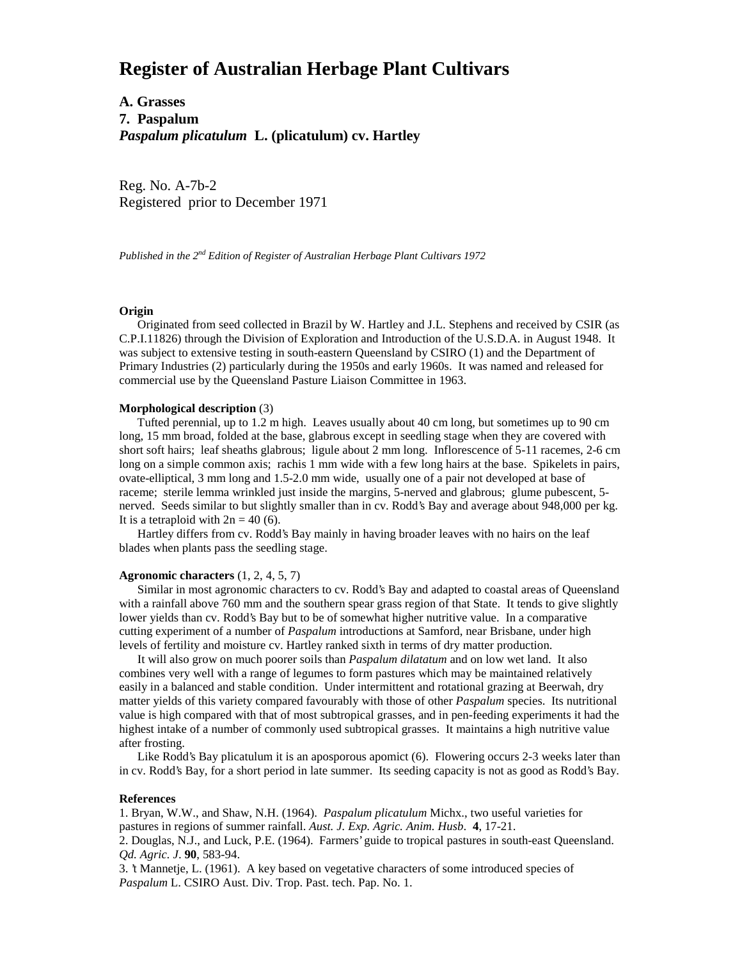# **Register of Australian Herbage Plant Cultivars**

**A. Grasses 7. Paspalum** *Paspalum plicatulum* **L. (plicatulum) cv. Hartley**

Reg. No. A-7b-2 Registered prior to December 1971

*Published in the 2nd Edition of Register of Australian Herbage Plant Cultivars 1972*

## **Origin**

 Originated from seed collected in Brazil by W. Hartley and J.L. Stephens and received by CSIR (as C.P.I.11826) through the Division of Exploration and Introduction of the U.S.D.A. in August 1948. It was subject to extensive testing in south-eastern Queensland by CSIRO (1) and the Department of Primary Industries (2) particularly during the 1950s and early 1960s. It was named and released for commercial use by the Queensland Pasture Liaison Committee in 1963.

### **Morphological description** (3)

 Tufted perennial, up to 1.2 m high. Leaves usually about 40 cm long, but sometimes up to 90 cm long, 15 mm broad, folded at the base, glabrous except in seedling stage when they are covered with short soft hairs; leaf sheaths glabrous; ligule about 2 mm long. Inflorescence of 5-11 racemes, 2-6 cm long on a simple common axis; rachis 1 mm wide with a few long hairs at the base. Spikelets in pairs, ovate-elliptical, 3 mm long and 1.5-2.0 mm wide, usually one of a pair not developed at base of raceme; sterile lemma wrinkled just inside the margins, 5-nerved and glabrous; glume pubescent, 5 nerved. Seeds similar to but slightly smaller than in cv. Rodd's Bay and average about 948,000 per kg. It is a tetraploid with  $2n = 40$  (6).

 Hartley differs from cv. Rodd's Bay mainly in having broader leaves with no hairs on the leaf blades when plants pass the seedling stage.

## **Agronomic characters** (1, 2, 4, 5, 7)

 Similar in most agronomic characters to cv. Rodd's Bay and adapted to coastal areas of Queensland with a rainfall above 760 mm and the southern spear grass region of that State. It tends to give slightly lower yields than cv. Rodd's Bay but to be of somewhat higher nutritive value. In a comparative cutting experiment of a number of *Paspalum* introductions at Samford, near Brisbane, under high levels of fertility and moisture cv. Hartley ranked sixth in terms of dry matter production.

 It will also grow on much poorer soils than *Paspalum dilatatum* and on low wet land. It also combines very well with a range of legumes to form pastures which may be maintained relatively easily in a balanced and stable condition. Under intermittent and rotational grazing at Beerwah, dry matter yields of this variety compared favourably with those of other *Paspalum* species. Its nutritional value is high compared with that of most subtropical grasses, and in pen-feeding experiments it had the highest intake of a number of commonly used subtropical grasses. It maintains a high nutritive value after frosting.

 Like Rodd's Bay plicatulum it is an aposporous apomict (6). Flowering occurs 2-3 weeks later than in cv. Rodd's Bay, for a short period in late summer. Its seeding capacity is not as good as Rodd's Bay.

#### **References**

1. Bryan, W.W., and Shaw, N.H. (1964). *Paspalum plicatulum* Michx., two useful varieties for pastures in regions of summer rainfall. *Aust. J. Exp. Agric. Anim. Husb*. **4**, 17-21.

2. Douglas, N.J., and Luck, P.E. (1964). Farmers' guide to tropical pastures in south-east Queensland. *Qd. Agric. J*. **90**, 583-94.

3. 't Mannetje, L. (1961). A key based on vegetative characters of some introduced species of *Paspalum* L. CSIRO Aust. Div. Trop. Past. tech. Pap. No. 1.